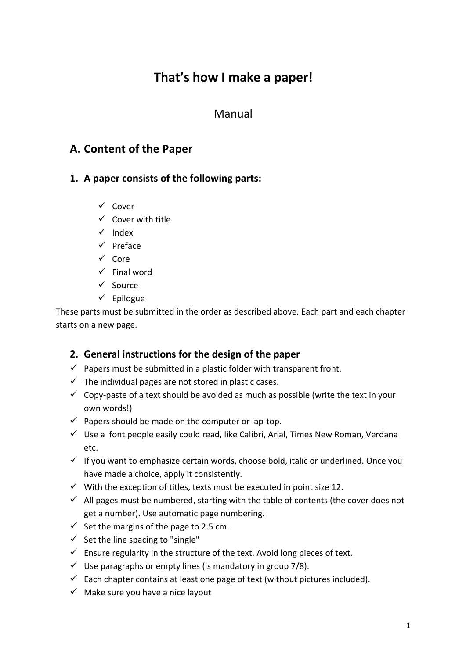# That's how I make a paper!

# Manual

# **A. Content of the Paper**

#### 1. A paper consists of the following parts:

- $\checkmark$  Cover
- $\checkmark$  Cover with title
- $\checkmark$  Index
- $\checkmark$  Preface
- $\checkmark$  Core
- $\checkmark$  Final word
- $\checkmark$  Source
- $\checkmark$  Epilogue

These parts must be submitted in the order as described above. Each part and each chapter starts on a new page.

### **2.** General instructions for the design of the paper

- $\checkmark$  Papers must be submitted in a plastic folder with transparent front.
- $\checkmark$  The individual pages are not stored in plastic cases.
- $\checkmark$  Copy-paste of a text should be avoided as much as possible (write the text in your own words!)
- $\checkmark$  Papers should be made on the computer or lap-top.
- $\checkmark$  Use a font people easily could read, like Calibri, Arial, Times New Roman, Verdana etc.
- $\checkmark$  If you want to emphasize certain words, choose bold, italic or underlined. Once you have made a choice, apply it consistently.
- $\checkmark$  With the exception of titles, texts must be executed in point size 12.
- $\checkmark$  All pages must be numbered, starting with the table of contents (the cover does not get a number). Use automatic page numbering.
- $\checkmark$  Set the margins of the page to 2.5 cm.
- $\checkmark$  Set the line spacing to "single"
- $\checkmark$  Ensure regularity in the structure of the text. Avoid long pieces of text.
- $\checkmark$  Use paragraphs or empty lines (is mandatory in group 7/8).
- $\checkmark$  Each chapter contains at least one page of text (without pictures included).
- $\checkmark$  Make sure you have a nice layout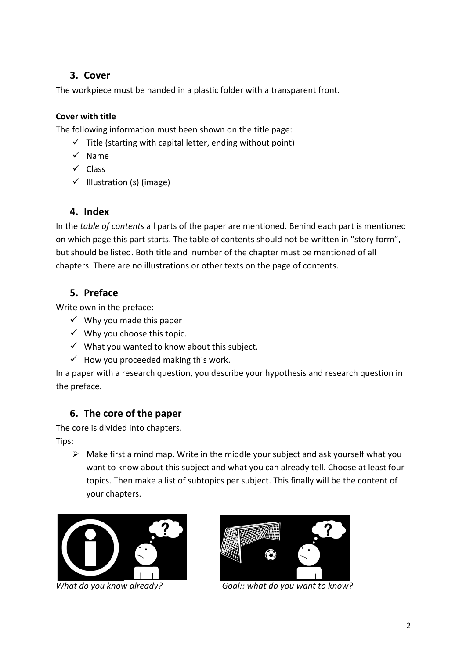### **3. Cover**

The workpiece must be handed in a plastic folder with a transparent front.

#### **Cover with title**

The following information must been shown on the title page:

- $\checkmark$  Title (starting with capital letter, ending without point)
- $\checkmark$  Name
- $\checkmark$  Class
- $\checkmark$  Illustration (s) (image)

### **4. Index**

In the *table of contents* all parts of the paper are mentioned. Behind each part is mentioned on which page this part starts. The table of contents should not be written in "story form", but should be listed. Both title and number of the chapter must be mentioned of all chapters. There are no illustrations or other texts on the page of contents.

## **5. Preface**

Write own in the preface:

- $\checkmark$  Why you made this paper
- $\checkmark$  Why you choose this topic.
- $\checkmark$  What you wanted to know about this subject.
- $\checkmark$  How you proceeded making this work.

In a paper with a research question, you describe your hypothesis and research question in the preface.

### **6.** The core of the paper

The core is divided into chapters.

Tips:

 $\triangleright$  Make first a mind map. Write in the middle your subject and ask yourself what you want to know about this subject and what you can already tell. Choose at least four topics. Then make a list of subtopics per subject. This finally will be the content of your chapters.





*What do you know already?* **Goal::** what do you want to know?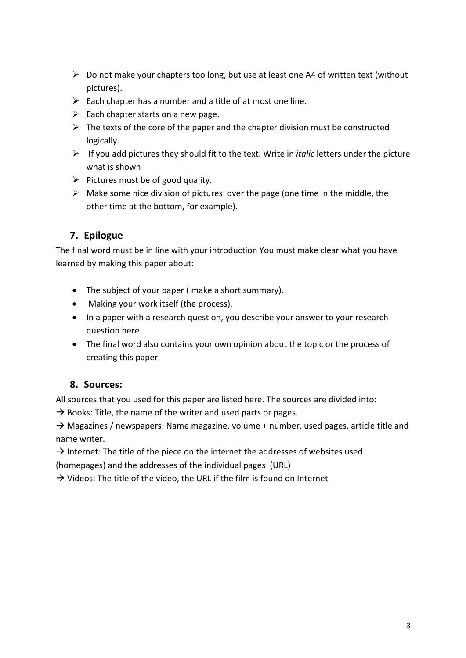- $\triangleright$  Do not make your chapters too long, but use at least one A4 of written text (without pictures).
- $\triangleright$  Each chapter has a number and a title of at most one line.
- $\triangleright$  Each chapter starts on a new page.
- $\triangleright$  The texts of the core of the paper and the chapter division must be constructed logically.
- $\triangleright$  If you add pictures they should fit to the text. Write in *italic* letters under the picture what is shown
- $\triangleright$  Pictures must be of good quality.
- $\triangleright$  Make some nice division of pictures over the page (one time in the middle, the other time at the bottom, for example).

### **7. Epilogue**

The final word must be in line with your introduction You must make clear what you have learned by making this paper about:

- The subject of your paper ( make a short summary).
- Making your work itself (the process).
- In a paper with a research question, you describe your answer to your research question here.
- The final word also contains your own opinion about the topic or the process of creating this paper.

#### **8. Sources:**

All sources that you used for this paper are listed here. The sources are divided into:

 $\rightarrow$  Books: Title, the name of the writer and used parts or pages.

 $\rightarrow$  Magazines / newspapers: Name magazine, volume + number, used pages, article title and name writer.

 $\rightarrow$  Internet: The title of the piece on the internet the addresses of websites used (homepages) and the addresses of the individual pages (URL)

 $\rightarrow$  Videos: The title of the video, the URL if the film is found on Internet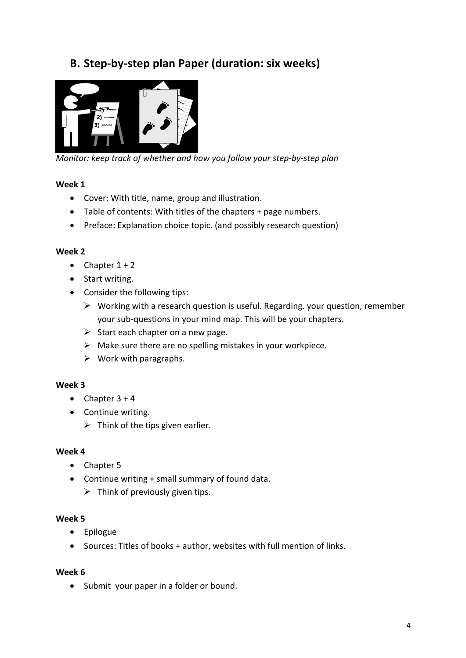# **B. Step-by-step plan Paper (duration: six weeks)**



*Monitor:* keep track of whether and how you follow your step-by-step plan

#### **Week 1**

- Cover: With title, name, group and illustration.
- Table of contents: With titles of the chapters + page numbers.
- Preface: Explanation choice topic. (and possibly research question)

#### **Week 2**

- Chapter  $1 + 2$
- Start writing.
- Consider the following tips:
	- $\triangleright$  Working with a research question is useful. Regarding. your question, remember your sub-questions in your mind map. This will be your chapters.
	- $\triangleright$  Start each chapter on a new page.
	- $\triangleright$  Make sure there are no spelling mistakes in your workpiece.
	- $\triangleright$  Work with paragraphs.

#### **Week 3**

- Chapter  $3 + 4$
- Continue writing.
	- $\triangleright$  Think of the tips given earlier.

#### **Week 4**

- Chapter 5
- Continue writing  $+$  small summary of found data.
	- $\triangleright$  Think of previously given tips.

#### **Week 5**

- Epilogue
- Sources: Titles of books + author, websites with full mention of links.

#### **Week 6**

• Submit your paper in a folder or bound.